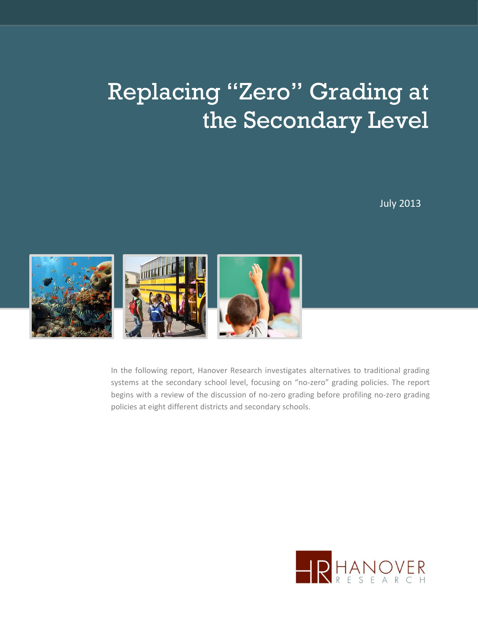# Replacing "Zero" Grading at the Secondary Level

July 2013



In the following report, Hanover Research investigates alternatives to traditional grading systems at the secondary school level, focusing on "no-zero" grading policies. The report begins with a review of the discussion of no-zero grading before profiling no-zero grading policies at eight different districts and secondary schools.

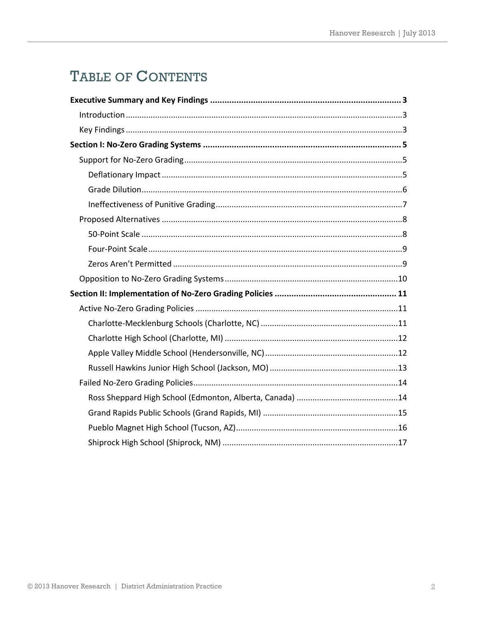# TABLE OF CONTENTS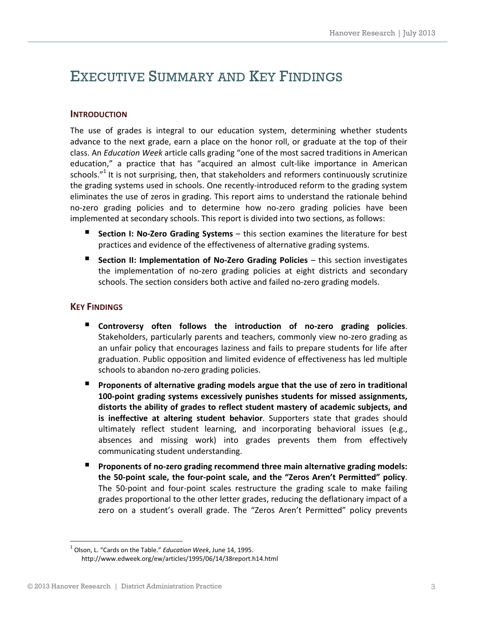### <span id="page-2-0"></span>EXECUTIVE SUMMARY AND KEY FINDINGS

#### <span id="page-2-1"></span>**INTRODUCTION**

The use of grades is integral to our education system, determining whether students advance to the next grade, earn a place on the honor roll, or graduate at the top of their class. An *Education Week* article calls grading "one of the most sacred traditions in American education," a practice that has "acquired an almost cult-like importance in American schools."<sup>1</sup> It is not surprising, then, that stakeholders and reformers continuously scrutinize the grading systems used in schools. One recently-introduced reform to the grading system eliminates the use of zeros in grading. This report aims to understand the rationale behind no-zero grading policies and to determine how no-zero grading policies have been implemented at secondary schools. This report is divided into two sections, as follows:

- **Section I: No-Zero Grading Systems** this section examines the literature for best practices and evidence of the effectiveness of alternative grading systems.
- **Section II: Implementation of No-Zero Grading Policies** this section investigates the implementation of no-zero grading policies at eight districts and secondary schools. The section considers both active and failed no-zero grading models.

#### <span id="page-2-2"></span>**KEY FINDINGS**

- **Controversy often follows the introduction of no-zero grading policies**. Stakeholders, particularly parents and teachers, commonly view no-zero grading as an unfair policy that encourages laziness and fails to prepare students for life after graduation. Public opposition and limited evidence of effectiveness has led multiple schools to abandon no-zero grading policies.
- **Proponents of alternative grading models argue that the use of zero in traditional 100-point grading systems excessively punishes students for missed assignments, distorts the ability of grades to reflect student mastery of academic subjects, and is ineffective at altering student behavior**. Supporters state that grades should ultimately reflect student learning, and incorporating behavioral issues (e.g., absences and missing work) into grades prevents them from effectively communicating student understanding.
- **Proponents of no-zero grading recommend three main alternative grading models: the 50-point scale, the four-point scale, and the "Zeros Aren't Permitted" policy**. The 50-point and four-point scales restructure the grading scale to make failing grades proportional to the other letter grades, reducing the deflationary impact of a zero on a student's overall grade. The "Zeros Aren't Permitted" policy prevents

l 1 Olson, L. "Cards on the Table." *Education Week*, June 14, 1995. http://www.edweek.org/ew/articles/1995/06/14/38report.h14.html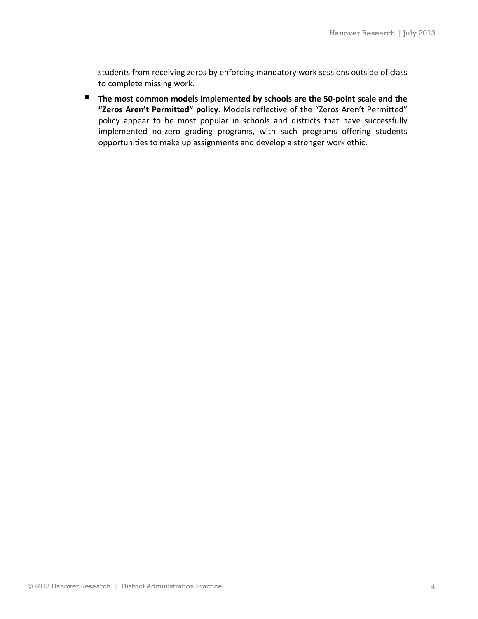students from receiving zeros by enforcing mandatory work sessions outside of class to complete missing work.

■ The most common models implemented by schools are the 50-point scale and the **"Zeros Aren't Permitted" policy**. Models reflective of the "Zeros Aren't Permitted" policy appear to be most popular in schools and districts that have successfully implemented no-zero grading programs, with such programs offering students opportunities to make up assignments and develop a stronger work ethic.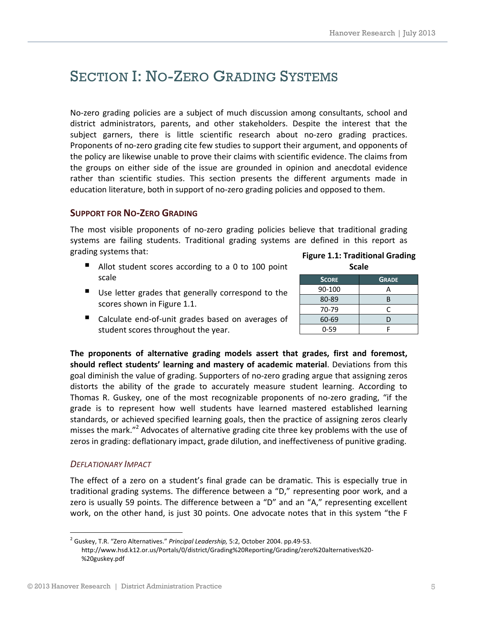# <span id="page-4-0"></span>SECTION I: NO-ZERO GRADING SYSTEMS

No-zero grading policies are a subject of much discussion among consultants, school and district administrators, parents, and other stakeholders. Despite the interest that the subject garners, there is little scientific research about no-zero grading practices. Proponents of no-zero grading cite few studies to support their argument, and opponents of the policy are likewise unable to prove their claims with scientific evidence. The claims from the groups on either side of the issue are grounded in opinion and anecdotal evidence rather than scientific studies. This section presents the different arguments made in education literature, both in support of no-zero grading policies and opposed to them.

#### <span id="page-4-1"></span>**SUPPORT FOR NO-ZERO GRADING**

The most visible proponents of no-zero grading policies believe that traditional grading systems are failing students. Traditional grading systems are defined in this report as grading systems that:

■ Allot student scores according to a 0 to 100 point scale

|  | <b>Figure 1.1: Traditional Grading</b> |  |
|--|----------------------------------------|--|
|  | <b>Scale</b>                           |  |

**SCORE GRADE** 90-100 A 80-89 B 70-79 C 60-69 D 0-59 | F

- Use letter grades that generally correspond to the scores shown in Figure 1.1.
- Calculate end-of-unit grades based on averages of student scores throughout the year.

**The proponents of alternative grading models assert that grades, first and foremost, should reflect students' learning and mastery of academic material**. Deviations from this goal diminish the value of grading. Supporters of no-zero grading argue that assigning zeros distorts the ability of the grade to accurately measure student learning. According to Thomas R. Guskey, one of the most recognizable proponents of no-zero grading, "if the grade is to represent how well students have learned mastered established learning standards, or achieved specified learning goals, then the practice of assigning zeros clearly misses the mark."<sup>2</sup> Advocates of alternative grading cite three key problems with the use of zeros in grading: deflationary impact, grade dilution, and ineffectiveness of punitive grading.

#### <span id="page-4-2"></span>*DEFLATIONARY IMPACT*

 $\overline{a}$ 

The effect of a zero on a student's final grade can be dramatic. This is especially true in traditional grading systems. The difference between a "D," representing poor work, and a zero is usually 59 points. The difference between a "D" and an "A," representing excellent work, on the other hand, is just 30 points. One advocate notes that in this system "the F

<sup>2</sup> Guskey, T.R. "Zero Alternatives." *Principal Leadership,* 5:2, October 2004. pp.49-53. http://www.hsd.k12.or.us/Portals/0/district/Grading%20Reporting/Grading/zero%20alternatives%20- %20guskey.pdf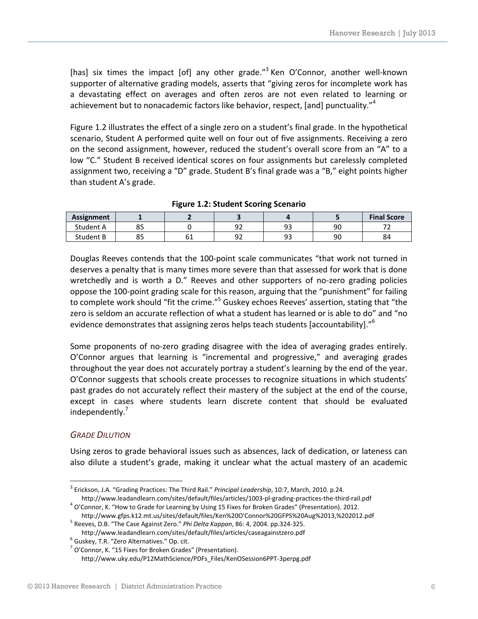[has] six times the impact [of] any other grade."<sup>3</sup> Ken O'Connor, another well-known supporter of alternative grading models, asserts that "giving zeros for incomplete work has a devastating effect on averages and often zeros are not even related to learning or achievement but to nonacademic factors like behavior, respect, [and] punctuality."<sup>4</sup>

Figure 1.2 illustrates the effect of a single zero on a student's final grade. In the hypothetical scenario, Student A performed quite well on four out of five assignments. Receiving a zero on the second assignment, however, reduced the student's overall score from an "A" to a low "C." Student B received identical scores on four assignments but carelessly completed assignment two, receiving a "D" grade. Student B's final grade was a "B," eight points higher than student A's grade.

| <b>Assignment</b> |                  |          |           |           |    | <b>Final Score</b> |
|-------------------|------------------|----------|-----------|-----------|----|--------------------|
| Student A         | ~~<br>ບບ         |          | ے ر       | ۵Q<br>ر ر | 90 |                    |
| Student B         | <b>- -</b><br>رە | ๛<br>ັບ⊥ | റീ<br>ے ر | ۵Q<br>JJ  | 90 | 84                 |

|  |  |  |  | <b>Figure 1.2: Student Scoring Scenario</b> |
|--|--|--|--|---------------------------------------------|
|--|--|--|--|---------------------------------------------|

Douglas Reeves contends that the 100-point scale communicates "that work not turned in deserves a penalty that is many times more severe than that assessed for work that is done wretchedly and is worth a D." Reeves and other supporters of no-zero grading policies oppose the 100-point grading scale for this reason, arguing that the "punishment" for failing to complete work should "fit the crime."<sup>5</sup> Guskey echoes Reeves' assertion, stating that "the zero is seldom an accurate reflection of what a student has learned or is able to do" and "no evidence demonstrates that assigning zeros helps teach students [accountability]."<sup>6</sup>

Some proponents of no-zero grading disagree with the idea of averaging grades entirely. O'Connor argues that learning is "incremental and progressive," and averaging grades throughout the year does not accurately portray a student's learning by the end of the year. O'Connor suggests that schools create processes to recognize situations in which students' past grades do not accurately reflect their mastery of the subject at the end of the course, except in cases where students learn discrete content that should be evaluated independently.<sup>7</sup>

#### <span id="page-5-0"></span>*GRADE DILUTION*

 $\overline{a}$ 

Using zeros to grade behavioral issues such as absences, lack of dedication, or lateness can also dilute a student's grade, making it unclear what the actual mastery of an academic

5 Reeves, D.B. "The Case Against Zero." *Phi Delta Kappan*, 86: 4, 2004. pp.324-325. http://www.leadandlearn.com/sites/default/files/articles/caseagainstzero.pdf

<sup>3</sup> Erickson, J.A. "Grading Practices: The Third Rail." *Principal Leadership*, 10:7, March, 2010. p.24. http://www.leadandlearn.com/sites/default/files/articles/1003-pl-grading-practices-the-third-rail.pdf

<sup>&</sup>lt;sup>4</sup> O'Connor, K. "How to Grade for Learning by Using 15 Fixes for Broken Grades" (Presentation). 2012. http://www.gfps.k12.mt.us/sites/default/files/Ken%20O'Connor%20GFPS%20Aug%2013,%202012.pdf

<sup>&</sup>lt;sup>6</sup> Guskey, T.R. "[Zero](file:///C:/Users/ejohnson/Desktop/Rock%20Hill%20School%20District/Zero) Alternatives." Op. cit.

<sup>&</sup>lt;sup>7</sup> O'Connor, K. "15 Fixes for Broken Grades" (Presentation). http://www.uky.edu/P12MathScience/PDFs\_Files/KenOSession6PPT-3perpg.pdf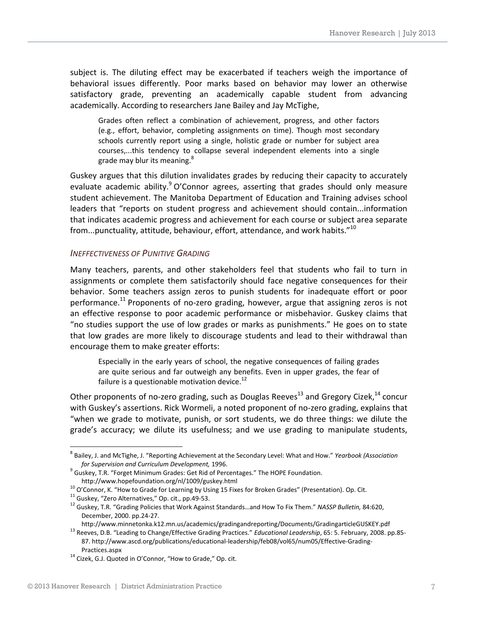subject is. The diluting effect may be exacerbated if teachers weigh the importance of behavioral issues differently. Poor marks based on behavior may lower an otherwise satisfactory grade, preventing an academically capable student from advancing academically. According to researchers Jane Bailey and Jay McTighe,

Grades often reflect a combination of achievement, progress, and other factors (e.g., effort, behavior, completing assignments on time). Though most secondary schools currently report using a single, holistic grade or number for subject area courses,...this tendency to collapse several independent elements into a single grade may blur its meaning.<sup>8</sup>

Guskey argues that this dilution invalidates grades by reducing their capacity to accurately evaluate academic ability.<sup>9</sup> O'Connor agrees, asserting that grades should only measure student achievement. The Manitoba Department of Education and Training advises school leaders that "reports on student progress and achievement should contain...information that indicates academic progress and achievement for each course or subject area separate from...punctuality, attitude, behaviour, effort, attendance, and work habits." $^{10}$ 

#### <span id="page-6-0"></span>*INEFFECTIVENESS OF PUNITIVE GRADING*

Many teachers, parents, and other stakeholders feel that students who fail to turn in assignments or complete them satisfactorily should face negative consequences for their behavior. Some teachers assign zeros to punish students for inadequate effort or poor performance.<sup>11</sup> Proponents of no-zero grading, however, argue that assigning zeros is not an effective response to poor academic performance or misbehavior. Guskey claims that "no studies support the use of low grades or marks as punishments." He goes on to state that low grades are more likely to discourage students and lead to their withdrawal than encourage them to make greater efforts:

Especially in the early years of school, the negative consequences of failing grades are quite serious and far outweigh any benefits. Even in upper grades, the fear of failure is a questionable motivation device. $^{12}$ 

Other proponents of no-zero grading, such as Douglas Reeves $^{13}$  and Gregory Cizek, $^{14}$  concur with Guskey's assertions. Rick Wormeli, a noted proponent of no-zero grading, explains that "when we grade to motivate, punish, or sort students, we do three things: we dilute the grade's accuracy; we dilute its usefulness; and we use grading to manipulate students,

<sup>8</sup> Bailey, J. and McTighe, J. "Reporting Achievement at the Secondary Level: What and How." *Yearbook (Association for Supervision and Curriculum Development,* 1996.

<sup>&</sup>lt;sup>9</sup> Guskey, T.R. "Forget Minimum Grades: Get Rid of Percentages." The HOPE Foundation. http://www.hopefoundation.org/nl/1009/guskey.html

 $10$  O'Connor, K. "How to Grade for Learning by Using 15 Fixes for Broken Grades" (Presentation). [Op.](file:///C:/Users/ejohnson/Desktop/Rock%20Hill%20School%20District/Op) Cit.

 $11$  Guskey, "Zero Alternatives," Op. cit., pp.49-53.

<sup>12</sup> Guskey, T.R. "Grading Policies that Work Against Standards…and How To Fix Them." *NASSP Bulletin,* 84:620, December, 2000. pp.24-27.

http://www.minnetonka.k12.mn.us/academics/gradingandreporting/Documents/GradingarticleGUSKEY.pdf

<sup>13</sup> Reeves, D.B. "Leading to Change/Effective Grading Practices." *Educational Leadership*, 65: 5. February, 2008. pp.85- 87. http://www.ascd.org/publications/educational-leadership/feb08/vol65/num05/Effective-Grading-Practices.aspx

<sup>&</sup>lt;sup>14</sup> Cizek, G.J. Quoted in O'Connor, "How to Grade," Op. cit.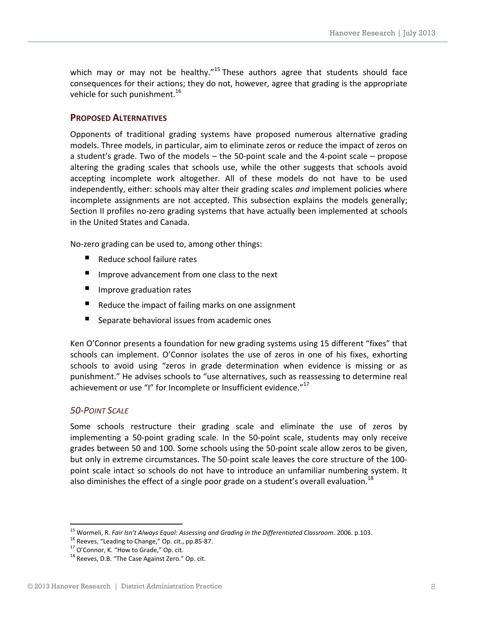which may or may not be healthy."<sup>15</sup> These authors agree that students should face consequences for their actions; they do not, however, agree that grading is the appropriate vehicle for such punishment.<sup>16</sup>

#### <span id="page-7-0"></span>**PROPOSED ALTERNATIVES**

Opponents of traditional grading systems have proposed numerous alternative grading models. Three models, in particular, aim to eliminate zeros or reduce the impact of zeros on a student's grade. Two of the models – the 50-point scale and the 4-point scale – propose altering the grading scales that schools use, while the other suggests that schools avoid accepting incomplete work altogether. All of these models do not have to be used independently, either: schools may alter their grading scales *and* implement policies where incomplete assignments are not accepted. This subsection explains the models generally; Section II profiles no-zero grading systems that have actually been implemented at schools in the United States and Canada.

No-zero grading can be used to, among other things:

- Reduce school failure rates
- $\blacksquare$  Improve advancement from one class to the next
- **Improve graduation rates**
- Reduce the impact of failing marks on one assignment
- Separate behavioral issues from academic ones

Ken O'Connor presents a foundation for new grading systems using 15 different "fixes" that schools can implement. O'Connor isolates the use of zeros in one of his fixes, exhorting schools to avoid using "zeros in grade determination when evidence is missing or as punishment." He advises schools to "use alternatives, such as reassessing to determine real achievement or use "I" for Incomplete or Insufficient evidence."<sup>17</sup>

#### <span id="page-7-1"></span>*50-POINT SCALE*

1

Some schools restructure their grading scale and eliminate the use of zeros by implementing a 50-point grading scale. In the 50-point scale, students may only receive grades between 50 and 100. Some schools using the 50-point scale allow zeros to be given, but only in extreme circumstances. The 50-point scale leaves the core structure of the 100 point scale intact so schools do not have to introduce an unfamiliar numbering system. It also diminishes the effect of a single poor grade on a student's overall evaluation.<sup>18</sup>

<sup>15</sup> Wormeli, R. *Fair Isn't Always Equal: Assessing and Grading in the Differentiated Classroom*. 2006. p.103.

<sup>&</sup>lt;sup>16</sup> Reeves, "Leading to Change," Op. cit., pp.85-87.

<sup>&</sup>lt;sup>17</sup> O'Connor, K. "How to Grade," Op. cit.

<sup>&</sup>lt;sup>18</sup> Reeves, D.B. "The Case Against Zero." [Op.](file:///C:/Users/ejohnson/Desktop/Rock%20Hill%20School%20District/Op) cit.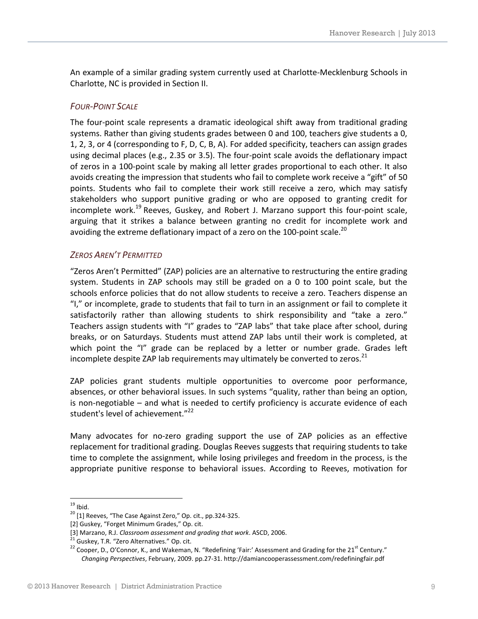An example of a similar grading system currently used at Charlotte-Mecklenburg Schools in Charlotte, NC is provided in Section II.

#### <span id="page-8-0"></span>*FOUR-POINT SCALE*

The four-point scale represents a dramatic ideological shift away from traditional grading systems. Rather than giving students grades between 0 and 100, teachers give students a 0, 1, 2, 3, or 4 (corresponding to F, D, C, B, A). For added specificity, teachers can assign grades using decimal places (e.g., 2.35 or 3.5). The four-point scale avoids the deflationary impact of zeros in a 100-point scale by making all letter grades proportional to each other. It also avoids creating the impression that students who fail to complete work receive a "gift" of 50 points. Students who fail to complete their work still receive a zero, which may satisfy stakeholders who support punitive grading or who are opposed to granting credit for incomplete work.<sup>19</sup> Reeves, Guskey, and Robert J. Marzano support this four-point scale, arguing that it strikes a balance between granting no credit for incomplete work and avoiding the extreme deflationary impact of a zero on the 100-point scale.<sup>20</sup>

#### <span id="page-8-1"></span>*ZEROS AREN'T PERMITTED*

"Zeros Aren't Permitted" (ZAP) policies are an alternative to restructuring the entire grading system. Students in ZAP schools may still be graded on a 0 to 100 point scale, but the schools enforce policies that do not allow students to receive a zero. Teachers dispense an "I," or incomplete, grade to students that fail to turn in an assignment or fail to complete it satisfactorily rather than allowing students to shirk responsibility and "take a zero." Teachers assign students with "I" grades to "ZAP labs" that take place after school, during breaks, or on Saturdays. Students must attend ZAP labs until their work is completed, at which point the "I" grade can be replaced by a letter or number grade. Grades left incomplete despite ZAP lab requirements may ultimately be converted to zeros.<sup>21</sup>

ZAP policies grant students multiple opportunities to overcome poor performance, absences, or other behavioral issues. In such systems "quality, rather than being an option, is non-negotiable – and what is needed to certify proficiency is accurate evidence of each student's level of achievement."<sup>22</sup>

Many advocates for no-zero grading support the use of ZAP policies as an effective replacement for traditional grading. Douglas Reeves suggests that requiring students to take time to complete the assignment, while losing privileges and freedom in the process, is the appropriate punitive response to behavioral issues. According to Reeves, motivation for

<sup>1</sup>  $19$  Ibid.

<sup>&</sup>lt;sup>20</sup> [1] Reeves, "The Case Against Zero," Op. cit., pp.324-325.

<sup>[2]</sup> Guskey, "Forget Minimum Grades," Op. cit.

<sup>[3]</sup> Marzano, R.J. *Classroom assessment and grading that work*. ASCD, 2006.

<sup>&</sup>lt;sup>21</sup> Guskey, T.R. "Zero Alternatives." Op. cit.

 $22$  Cooper, D., O'Connor, K., and Wakeman, N. "Redefining 'Fair:' Assessment and Grading for the 21<sup>st</sup> Century." *Changing Perspectives*, February, 2009. pp.27-31. http://damiancooperassessment.com/redefiningfair.pdf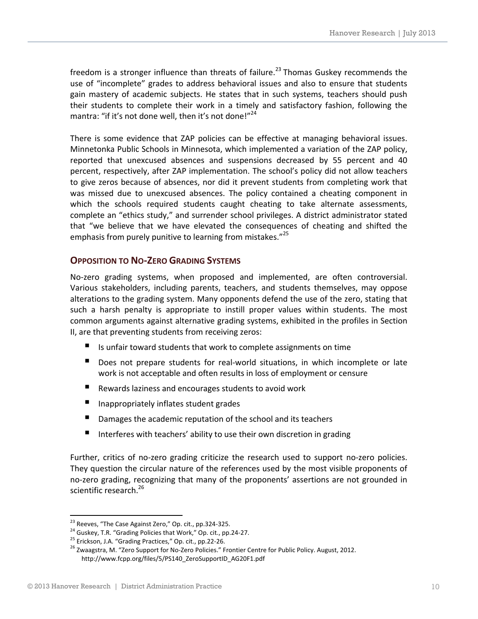freedom is a stronger influence than threats of failure.<sup>23</sup> Thomas Guskey recommends the use of "incomplete" grades to address behavioral issues and also to ensure that students gain mastery of academic subjects. He states that in such systems, teachers should push their students to complete their work in a timely and satisfactory fashion, following the mantra: "if it's not done well, then it's not done!"<sup>24</sup>

There is some evidence that ZAP policies can be effective at managing behavioral issues. Minnetonka Public Schools in Minnesota, which implemented a variation of the ZAP policy, reported that unexcused absences and suspensions decreased by 55 percent and 40 percent, respectively, after ZAP implementation. The school's policy did not allow teachers to give zeros because of absences, nor did it prevent students from completing work that was missed due to unexcused absences. The policy contained a cheating component in which the schools required students caught cheating to take alternate assessments, complete an "ethics study," and surrender school privileges. A district administrator stated that "we believe that we have elevated the consequences of cheating and shifted the emphasis from purely punitive to learning from mistakes."<sup>25</sup>

#### <span id="page-9-0"></span>**OPPOSITION TO NO-ZERO GRADING SYSTEMS**

No-zero grading systems, when proposed and implemented, are often controversial. Various stakeholders, including parents, teachers, and students themselves, may oppose alterations to the grading system. Many opponents defend the use of the zero, stating that such a harsh penalty is appropriate to instill proper values within students. The most common arguments against alternative grading systems, exhibited in the profiles in Section II, are that preventing students from receiving zeros:

- Is unfair toward students that work to complete assignments on time
- Does not prepare students for real-world situations, in which incomplete or late work is not acceptable and often results in loss of employment or censure
- Rewards laziness and encourages students to avoid work
- Inappropriately inflates student grades
- Damages the academic reputation of the school and its teachers
- Interferes with teachers' ability to use their own discretion in grading

Further, critics of no-zero grading criticize the research used to support no-zero policies. They question the circular nature of the references used by the most visible proponents of no-zero grading, recognizing that many of the proponents' assertions are not grounded in scientific research.<sup>26</sup>

l

<sup>&</sup>lt;sup>23</sup> Reeves, "The Case Against Zero," Op. cit., pp.324-325.

<sup>&</sup>lt;sup>24</sup> Guskey, T.R. "Grading Policies that Work," Op. cit., pp.24-27.

<sup>&</sup>lt;sup>25</sup> Erickson, J.A. "Grading Practices," Op. cit., pp.22-26.

<sup>&</sup>lt;sup>26</sup> Zwaagstra, M. "Zero Support for No-Zero Policies." Frontier Centre for Public Policy. August, 2012. http://www.fcpp.org/files/5/PS140\_ZeroSupportID\_AG20F1.pdf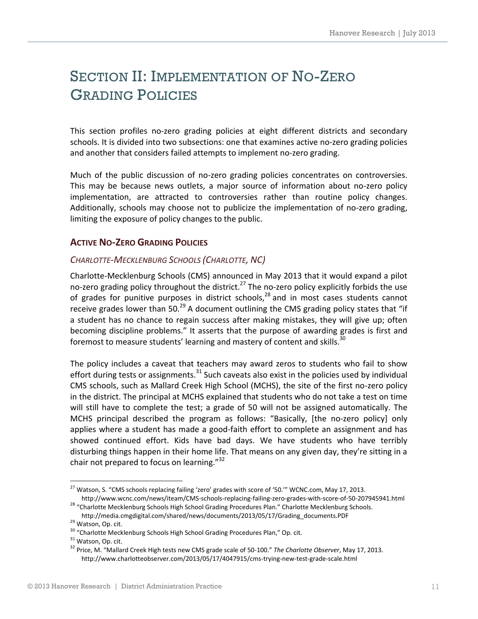# <span id="page-10-0"></span>SECTION II: IMPLEMENTATION OF NO-ZERO GRADING POLICIES

This section profiles no-zero grading policies at eight different districts and secondary schools. It is divided into two subsections: one that examines active no-zero grading policies and another that considers failed attempts to implement no-zero grading.

Much of the public discussion of no-zero grading policies concentrates on controversies. This may be because news outlets, a major source of information about no-zero policy implementation, are attracted to controversies rather than routine policy changes. Additionally, schools may choose not to publicize the implementation of no-zero grading, limiting the exposure of policy changes to the public.

#### <span id="page-10-1"></span>**ACTIVE NO-ZERO GRADING POLICIES**

#### <span id="page-10-2"></span>*CHARLOTTE-MECKLENBURG SCHOOLS (CHARLOTTE, NC)*

Charlotte-Mecklenburg Schools (CMS) announced in May 2013 that it would expand a pilot no-zero grading policy throughout the district.<sup>27</sup> The no-zero policy explicitly forbids the use of grades for punitive purposes in district schools, $^{28}$  and in most cases students cannot receive grades lower than 50.<sup>29</sup> A document outlining the CMS grading policy states that "if a student has no chance to regain success after making mistakes, they will give up; often becoming discipline problems." It asserts that the purpose of awarding grades is first and foremost to measure students' learning and mastery of content and skills.<sup>30</sup>

The policy includes a caveat that teachers may award zeros to students who fail to show effort during tests or assignments.<sup>31</sup> Such caveats also exist in the policies used by individual CMS schools, such as Mallard Creek High School (MCHS), the site of the first no-zero policy in the district. The principal at MCHS explained that students who do not take a test on time will still have to complete the test; a grade of 50 will not be assigned automatically. The MCHS principal described the program as follows: "Basically, [the no-zero policy] only applies where a student has made a good-faith effort to complete an assignment and has showed continued effort. Kids have bad days. We have students who have terribly disturbing things happen in their home life. That means on any given day, they're sitting in a chair not prepared to focus on learning." $32$ 

 $^{27}$  Watson, S. "CMS schools replacing failing 'zero' grades with score of '50."" WCNC.com, May 17, 2013. http://www.wcnc.com/news/iteam/CMS-schools-replacing-failing-zero-grades-with-score-of-50-207945941.html

<sup>&</sup>lt;sup>28</sup> "Charlotte Mecklenburg Schools High School Grading Procedures Plan." Charlotte Mecklenburg Schools. http://media.cmgdigital.com/shared/news/documents/2013/05/17/Grading\_documents.PDF

<sup>&</sup>lt;sup>29</sup> Watson, Op. cit.

<sup>&</sup>lt;sup>30</sup> "Charlotte Mecklenburg Schools High School Grading Procedures Plan," Op. cit.

<sup>&</sup>lt;sup>31</sup> Watson, Op. cit.

<sup>32</sup> Price, M. "Mallard Creek High tests new CMS grade scale of 50-100." *The Charlotte Observer*, May 17, 2013. http://www.charlotteobserver.com/2013/05/17/4047915/cms-trying-new-test-grade-scale.html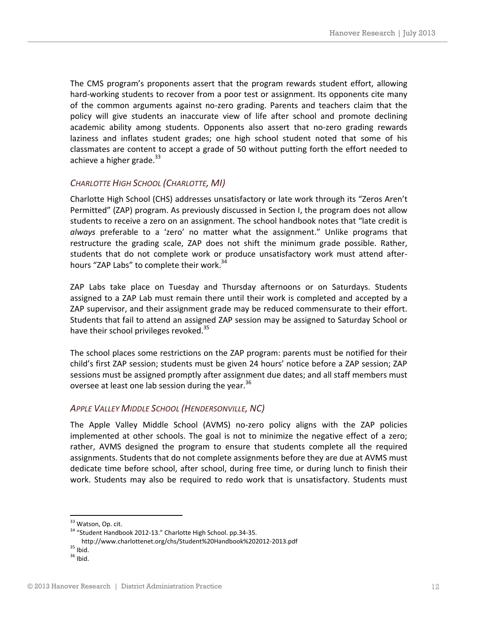The CMS program's proponents assert that the program rewards student effort, allowing hard-working students to recover from a poor test or assignment. Its opponents cite many of the common arguments against no-zero grading. Parents and teachers claim that the policy will give students an inaccurate view of life after school and promote declining academic ability among students. Opponents also assert that no-zero grading rewards laziness and inflates student grades; one high school student noted that some of his classmates are content to accept a grade of 50 without putting forth the effort needed to achieve a higher grade. $^{33}$ 

#### <span id="page-11-0"></span>*CHARLOTTE HIGH SCHOOL (CHARLOTTE, MI)*

Charlotte High School (CHS) addresses unsatisfactory or late work through its "Zeros Aren't Permitted" (ZAP) program. As previously discussed in Section I, the program does not allow students to receive a zero on an assignment. The school handbook notes that "late credit is *always* preferable to a 'zero' no matter what the assignment." Unlike programs that restructure the grading scale, ZAP does not shift the minimum grade possible. Rather, students that do not complete work or produce unsatisfactory work must attend afterhours "ZAP Labs" to complete their work.<sup>34</sup>

ZAP Labs take place on Tuesday and Thursday afternoons or on Saturdays. Students assigned to a ZAP Lab must remain there until their work is completed and accepted by a ZAP supervisor, and their assignment grade may be reduced commensurate to their effort. Students that fail to attend an assigned ZAP session may be assigned to Saturday School or have their school privileges revoked.<sup>35</sup>

The school places some restrictions on the ZAP program: parents must be notified for their child's first ZAP session; students must be given 24 hours' notice before a ZAP session; ZAP sessions must be assigned promptly after assignment due dates; and all staff members must oversee at least one lab session during the year.<sup>36</sup>

#### <span id="page-11-1"></span>*APPLE VALLEY MIDDLE SCHOOL (HENDERSONVILLE, NC)*

The Apple Valley Middle School (AVMS) no-zero policy aligns with the ZAP policies implemented at other schools. The goal is not to minimize the negative effect of a zero; rather, AVMS designed the program to ensure that students complete all the required assignments. Students that do not complete assignments before they are due at AVMS must dedicate time before school, after school, during free time, or during lunch to finish their work. Students may also be required to redo work that is unsatisfactory. Students must

l <sup>33</sup> Watson, Op. cit.

<sup>34</sup> "Student Handbook 2012-13." Charlotte High School. pp.34-35.

http://www.charlottenet.org/chs/Student%20Handbook%202012-2013.pdf

 $35$  Ibid.

 $36$  Ibid.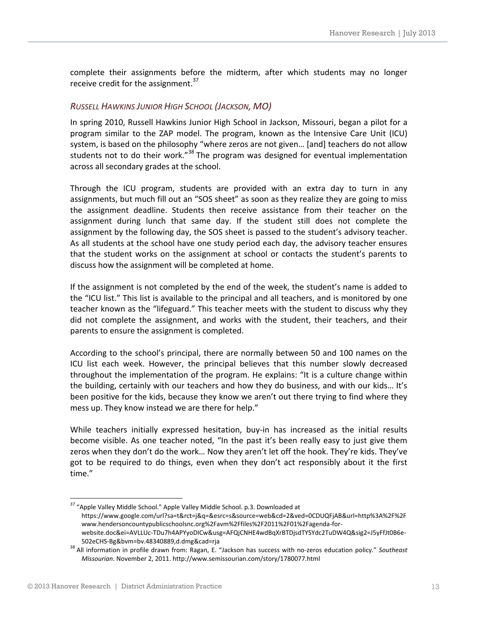complete their assignments before the midterm, after which students may no longer receive credit for the assignment.<sup>37</sup>

#### <span id="page-12-0"></span>*RUSSELL HAWKINS JUNIOR HIGH SCHOOL (JACKSON, MO)*

In spring 2010, Russell Hawkins Junior High School in Jackson, Missouri, began a pilot for a program similar to the ZAP model. The program, known as the Intensive Care Unit (ICU) system, is based on the philosophy "where zeros are not given… [and] teachers do not allow students not to do their work."<sup>38</sup> The program was designed for eventual implementation across all secondary grades at the school.

Through the ICU program, students are provided with an extra day to turn in any assignments, but much fill out an "SOS sheet" as soon as they realize they are going to miss the assignment deadline. Students then receive assistance from their teacher on the assignment during lunch that same day. If the student still does not complete the assignment by the following day, the SOS sheet is passed to the student's advisory teacher. As all students at the school have one study period each day, the advisory teacher ensures that the student works on the assignment at school or contacts the student's parents to discuss how the assignment will be completed at home.

If the assignment is not completed by the end of the week, the student's name is added to the "ICU list." This list is available to the principal and all teachers, and is monitored by one teacher known as the "lifeguard." This teacher meets with the student to discuss why they did not complete the assignment, and works with the student, their teachers, and their parents to ensure the assignment is completed.

According to the school's principal, there are normally between 50 and 100 names on the ICU list each week. However, the principal believes that this number slowly decreased throughout the implementation of the program. He explains: "It is a culture change within the building, certainly with our teachers and how they do business, and with our kids… It's been positive for the kids, because they know we aren't out there trying to find where they mess up. They know instead we are there for help."

While teachers initially expressed hesitation, buy-in has increased as the initial results become visible. As one teacher noted, "In the past it's been really easy to just give them zeros when they don't do the work… Now they aren't let off the hook. They're kids. They've got to be required to do things, even when they don't act responsibly about it the first time."

1

<sup>&</sup>lt;sup>37</sup> "Apple Valley Middle School." Apple Valley Middle School. p.3. Downloaded at https://www.google.com/url?sa=t&rct=j&q=&esrc=s&source=web&cd=2&ved=0CDUQFjAB&url=http%3A%2F%2F www.hendersoncountypublicschoolsnc.org%2Favm%2Ffiles%2F2011%2F01%2Fagenda-forwebsite.doc&ei=AVLLUc-TDu7h4APYyoDICw&usg=AFQjCNHE4wdBqXrBTDjsdTYSYdc2TuDW4Q&sig2=J5yFfJt0B6e-502eCHS-Bg&bvm=bv.48340889,d.dmg&cad=rja

<sup>38</sup> All information in profile drawn from: Ragan, E. "Jackson has success with no-zeros education policy." *Southeast Missourian*. November 2, 2011. http://www.semissourian.com/story/1780077.html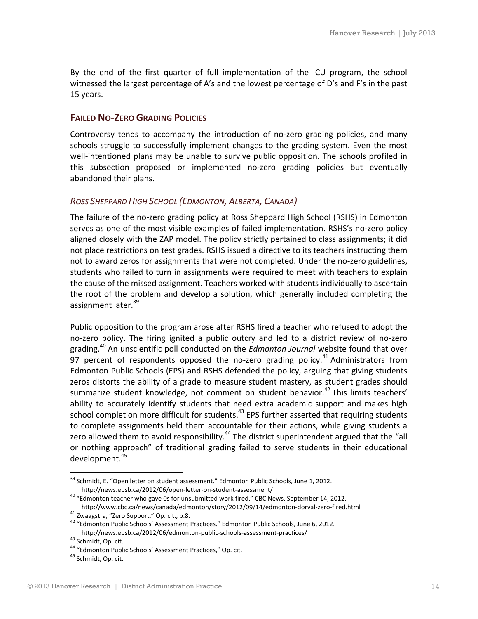By the end of the first quarter of full implementation of the ICU program, the school witnessed the largest percentage of A's and the lowest percentage of D's and F's in the past 15 years.

#### <span id="page-13-0"></span>**FAILED NO-ZERO GRADING POLICIES**

Controversy tends to accompany the introduction of no-zero grading policies, and many schools struggle to successfully implement changes to the grading system. Even the most well-intentioned plans may be unable to survive public opposition. The schools profiled in this subsection proposed or implemented no-zero grading policies but eventually abandoned their plans.

#### <span id="page-13-1"></span>*ROSS SHEPPARD HIGH SCHOOL (EDMONTON, ALBERTA, CANADA)*

The failure of the no-zero grading policy at Ross Sheppard High School (RSHS) in Edmonton serves as one of the most visible examples of failed implementation. RSHS's no-zero policy aligned closely with the ZAP model. The policy strictly pertained to class assignments; it did not place restrictions on test grades. RSHS issued a directive to its teachers instructing them not to award zeros for assignments that were not completed. Under the no-zero guidelines, students who failed to turn in assignments were required to meet with teachers to explain the cause of the missed assignment. Teachers worked with students individually to ascertain the root of the problem and develop a solution, which generally included completing the assignment later.<sup>39</sup>

Public opposition to the program arose after RSHS fired a teacher who refused to adopt the no-zero policy. The firing ignited a public outcry and led to a district review of no-zero grading.<sup>40</sup> An unscientific poll conducted on the *Edmonton Journal* website found that over 97 percent of respondents opposed the no-zero grading policy.<sup>41</sup> Administrators from Edmonton Public Schools (EPS) and RSHS defended the policy, arguing that giving students zeros distorts the ability of a grade to measure student mastery, as student grades should summarize student knowledge, not comment on student behavior.<sup>42</sup> This limits teachers' ability to accurately identify students that need extra academic support and makes high school completion more difficult for students.<sup>43</sup> EPS further asserted that requiring students to complete assignments held them accountable for their actions, while giving students a zero allowed them to avoid responsibility.<sup>44</sup> The district superintendent argued that the "all or nothing approach" of traditional grading failed to serve students in their educational development.<sup>45</sup>

<sup>&</sup>lt;sup>39</sup> Schmidt, E. "Open letter on student assessment." Edmonton Public Schools, June 1, 2012. http://news.epsb.ca/2012/06/open-letter-on-student-assessment/

<sup>40</sup> "Edmonton teacher who gave 0s for unsubmitted work fired." CBC News, September 14, 2012.

http://www.cbc.ca/news/canada/edmonton/story/2012/09/14/edmonton-dorval-zero-fired.html <sup>41</sup> Zwaagstra, "Zero Support," Op. cit., p.8.

<sup>42</sup> "Edmonton Public Schools' Assessment Practices." Edmonton Public Schools, June 6, 2012. http://news.epsb.ca/2012/06/edmonton-public-schools-assessment-practices/

<sup>43</sup> Schmidt, Op. cit.

<sup>44</sup> "Edmonton Public Schools' Assessment Practices," Op. cit.

<sup>&</sup>lt;sup>45</sup> Schmidt, Op. cit.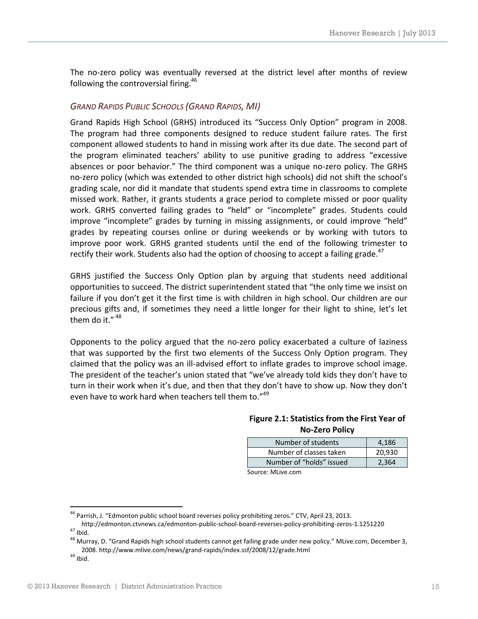The no-zero policy was eventually reversed at the district level after months of review following the controversial firing.<sup>46</sup>

#### <span id="page-14-0"></span>*GRAND RAPIDS PUBLIC SCHOOLS (GRAND RAPIDS, MI)*

Grand Rapids High School (GRHS) introduced its "Success Only Option" program in 2008. The program had three components designed to reduce student failure rates. The first component allowed students to hand in missing work after its due date. The second part of the program eliminated teachers' ability to use punitive grading to address "excessive absences or poor behavior." The third component was a unique no-zero policy. The GRHS no-zero policy (which was extended to other district high schools) did not shift the school's grading scale, nor did it mandate that students spend extra time in classrooms to complete missed work. Rather, it grants students a grace period to complete missed or poor quality work. GRHS converted failing grades to "held" or "incomplete" grades. Students could improve "incomplete" grades by turning in missing assignments, or could improve "held" grades by repeating courses online or during weekends or by working with tutors to improve poor work. GRHS granted students until the end of the following trimester to rectify their work. Students also had the option of choosing to accept a failing grade. $47$ 

GRHS justified the Success Only Option plan by arguing that students need additional opportunities to succeed. The district superintendent stated that "the only time we insist on failure if you don't get it the first time is with children in high school. Our children are our precious gifts and, if sometimes they need a little longer for their light to shine, let's let them do it."  $48$ 

Opponents to the policy argued that the no-zero policy exacerbated a culture of laziness that was supported by the first two elements of the Success Only Option program. They claimed that the policy was an ill-advised effort to inflate grades to improve school image. The president of the teacher's union stated that "we've already told kids they don't have to turn in their work when it's due, and then that they don't have to show up. Now they don't even have to work hard when teachers tell them to."49

#### **Figure 2.1: Statistics from the First Year of No-Zero Policy**

| Number of students                   | 4,186  |  |
|--------------------------------------|--------|--|
| Number of classes taken              | 20,930 |  |
| Number of "holds" issued             | 2,364  |  |
| $Converses: M! \simeq \simeq \simeq$ |        |  |

Source: MLive.com

<sup>&</sup>lt;sup>46</sup> Parrish, J. "Edmonton public school board reverses policy prohibiting zeros." CTV, April 23, 2013.

http://edmonton.ctvnews.ca/edmonton-public-school-board-reverses-policy-prohibiting-zeros-1.1251220  $47$  Ibid.

<sup>&</sup>lt;sup>48</sup> Murray, D. "Grand Rapids high school students cannot get failing grade under new policy." MLive.com, December 3, 2008. http://www.mlive.com/news/grand-rapids/index.ssf/2008/12/grade.html

 $49$  Ibid.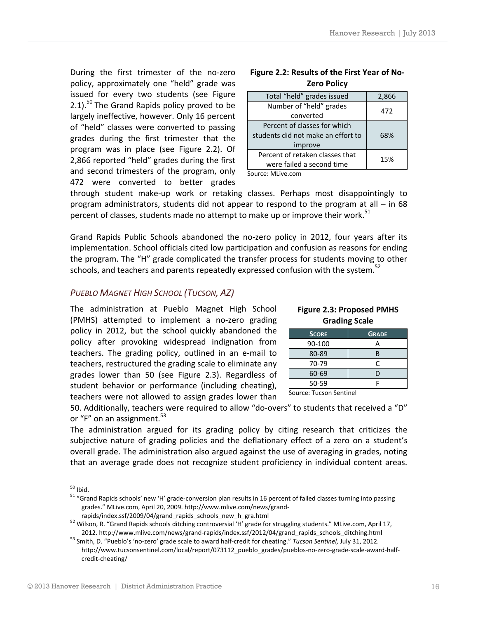During the first trimester of the no-zero policy, approximately one "held" grade was issued for every two students (see Figure 2.1).<sup>50</sup> The Grand Rapids policy proved to be largely ineffective, however. Only 16 percent of "held" classes were converted to passing grades during the first trimester that the program was in place (see Figure 2.2). Of 2,866 reported "held" grades during the first and second trimesters of the program, only 472 were converted to better grades

| Total "held" grades issued         | 2,866 |  |
|------------------------------------|-------|--|
| Number of "held" grades            | 472   |  |
| converted                          |       |  |
| Percent of classes for which       |       |  |
| students did not make an effort to | 68%   |  |
| improve                            |       |  |
| Percent of retaken classes that    | 15%   |  |
| were failed a second time          |       |  |
|                                    |       |  |

#### **Figure 2.2: Results of the First Year of No-Zero Policy**

Source: MLive.com

through student make-up work or retaking classes. Perhaps most disappointingly to program administrators, students did not appear to respond to the program at all – in 68 percent of classes, students made no attempt to make up or improve their work.<sup>51</sup>

Grand Rapids Public Schools abandoned the no-zero policy in 2012, four years after its implementation. School officials cited low participation and confusion as reasons for ending the program. The "H" grade complicated the transfer process for students moving to other schools, and teachers and parents repeatedly expressed confusion with the system.<sup>52</sup>

#### <span id="page-15-0"></span>*PUEBLO MAGNET HIGH SCHOOL (TUCSON, AZ)*

The administration at Pueblo Magnet High School (PMHS) attempted to implement a no-zero grading policy in 2012, but the school quickly abandoned the policy after provoking widespread indignation from teachers. The grading policy, outlined in an e-mail to teachers, restructured the grading scale to eliminate any grades lower than 50 (see Figure 2.3). Regardless of student behavior or performance (including cheating), teachers were not allowed to assign grades lower than

#### **Figure 2.3: Proposed PMHS Grading Scale**

| <b>SCORE</b> | <b>GRADE</b> |
|--------------|--------------|
| 90-100       | д            |
| 80-89        | R            |
| 70-79        | C            |
| 60-69        | D            |
| 50-59        |              |
|              |              |

Source: Tucson Sentinel

50. Additionally, teachers were required to allow "do-overs" to students that received a "D" or "F" on an assignment. $53$ 

The administration argued for its grading policy by citing research that criticizes the subjective nature of grading policies and the deflationary effect of a zero on a student's overall grade. The administration also argued against the use of averaging in grades, noting that an average grade does not recognize student proficiency in individual content areas.

 $50$  Ibid.

<sup>&</sup>lt;sup>51</sup> "Grand Rapids schools' new 'H' grade-conversion plan results in 16 percent of failed classes turning into passing grades." MLive.com, April 20, 2009. http://www.mlive.com/news/grand-

rapids/index.ssf/2009/04/grand\_rapids\_schools\_new\_h\_gra.html

<sup>52</sup> Wilson, R. "Grand Rapids schools ditching controversial 'H' grade for struggling students." MLive.com, April 17, 2012. http://www.mlive.com/news/grand-rapids/index.ssf/2012/04/grand\_rapids\_schools\_ditching.html

<sup>53</sup> Smith, D. "Pueblo's 'no-zero' grade scale to award half-credit for cheating." *Tucson Sentinel,* July 31, 2012. http://www.tucsonsentinel.com/local/report/073112\_pueblo\_grades/pueblos-no-zero-grade-scale-award-halfcredit-cheating/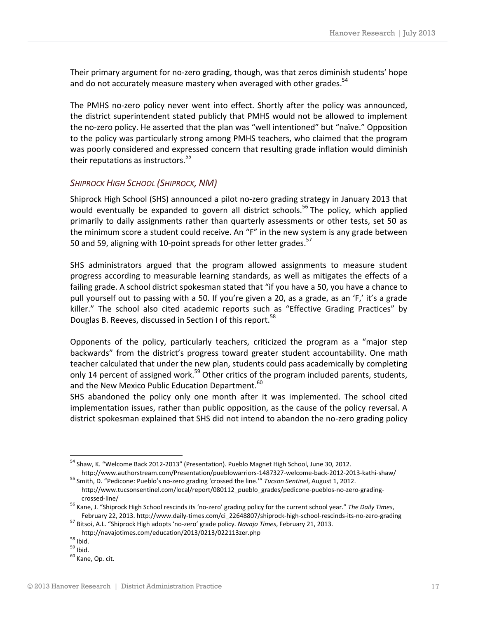Their primary argument for no-zero grading, though, was that zeros diminish students' hope and do not accurately measure mastery when averaged with other grades.<sup>54</sup>

The PMHS no-zero policy never went into effect. Shortly after the policy was announced, the district superintendent stated publicly that PMHS would not be allowed to implement the no-zero policy. He asserted that the plan was "well intentioned" but "naïve." Opposition to the policy was particularly strong among PMHS teachers, who claimed that the program was poorly considered and expressed concern that resulting grade inflation would diminish their reputations as instructors.<sup>55</sup>

#### <span id="page-16-0"></span>*SHIPROCK HIGH SCHOOL (SHIPROCK, NM)*

Shiprock High School (SHS) announced a pilot no-zero grading strategy in January 2013 that would eventually be expanded to govern all district schools.<sup>56</sup> The policy, which applied primarily to daily assignments rather than quarterly assessments or other tests, set 50 as the minimum score a student could receive. An "F" in the new system is any grade between 50 and 59, aligning with 10-point spreads for other letter grades.<sup>57</sup>

SHS administrators argued that the program allowed assignments to measure student progress according to measurable learning standards, as well as mitigates the effects of a failing grade. A school district spokesman stated that "if you have a 50, you have a chance to pull yourself out to passing with a 50. If you're given a 20, as a grade, as an 'F,' it's a grade killer." The school also cited academic reports such as "Effective Grading Practices" by Douglas B. Reeves, discussed in Section I of this report.<sup>58</sup>

Opponents of the policy, particularly teachers, criticized the program as a "major step backwards" from the district's progress toward greater student accountability. One math teacher calculated that under the new plan, students could pass academically by completing only 14 percent of assigned work.<sup>59</sup> Other critics of the program included parents, students, and the New Mexico Public Education Department.<sup>60</sup>

SHS abandoned the policy only one month after it was implemented. The school cited implementation issues, rather than public opposition, as the cause of the policy reversal. A district spokesman explained that SHS did not intend to abandon the no-zero grading policy

l

<sup>&</sup>lt;sup>54</sup> Shaw, K. "Welcome Back 2012-2013" (Presentation). Pueblo Magnet High School, June 30, 2012. http://www.authorstream.com/Presentation/pueblowarriors-1487327-welcome-back-2012-2013-kathi-shaw/

<sup>55</sup> Smith, D. "Pedicone: Pueblo's no-zero grading 'crossed the line.'" *Tucson Sentinel*, August 1, 2012. http://www.tucsonsentinel.com/local/report/080112\_pueblo\_grades/pedicone-pueblos-no-zero-grading-

crossed-line/

<sup>56</sup> Kane, J. "Shiprock High School rescinds its 'no-zero' grading policy for the current school year." *The Daily Times*, February 22, 2013. http://www.daily-times.com/ci\_22648807/shiprock-high-school-rescinds-its-no-zero-grading

<sup>57</sup> Bitsoi, A.L. "Shiprock High adopts 'no-zero' grade policy. *Navajo Times*, February 21, 2013.

http://navajotimes.com/education/2013/0213/022113zer.php

<sup>58</sup> Ibid.

<sup>59</sup> Ibid.

 $60$  Kane, Op. cit.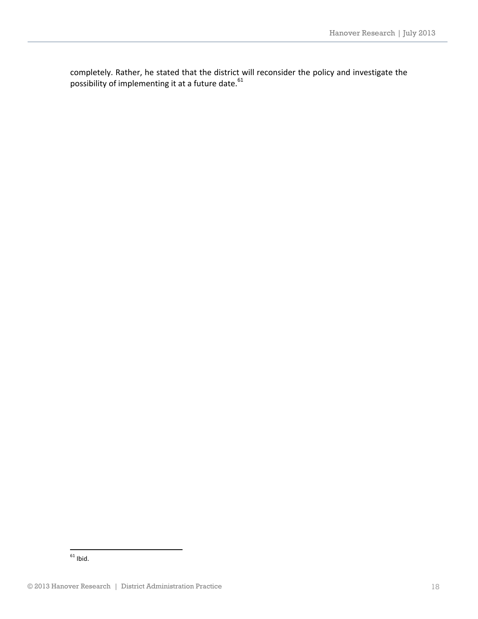completely. Rather, he stated that the district will reconsider the policy and investigate the possibility of implementing it at a future date.  $61$ 

<sup>1</sup>  $^{61}$  Ibid.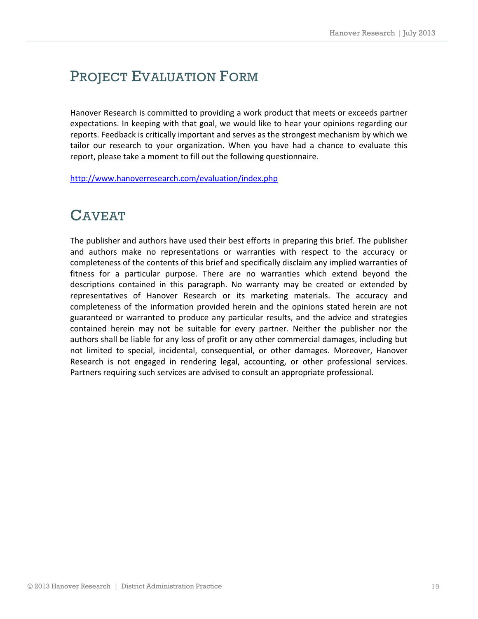# PROJECT EVALUATION FORM

Hanover Research is committed to providing a work product that meets or exceeds partner expectations. In keeping with that goal, we would like to hear your opinions regarding our reports. Feedback is critically important and serves as the strongest mechanism by which we tailor our research to your organization. When you have had a chance to evaluate this report, please take a moment to fill out the following questionnaire.

<http://www.hanoverresearch.com/evaluation/index.php>

# CAVEAT

The publisher and authors have used their best efforts in preparing this brief. The publisher and authors make no representations or warranties with respect to the accuracy or completeness of the contents of this brief and specifically disclaim any implied warranties of fitness for a particular purpose. There are no warranties which extend beyond the descriptions contained in this paragraph. No warranty may be created or extended by representatives of Hanover Research or its marketing materials. The accuracy and completeness of the information provided herein and the opinions stated herein are not guaranteed or warranted to produce any particular results, and the advice and strategies contained herein may not be suitable for every partner. Neither the publisher nor the authors shall be liable for any loss of profit or any other commercial damages, including but not limited to special, incidental, consequential, or other damages. Moreover, Hanover Research is not engaged in rendering legal, accounting, or other professional services. Partners requiring such services are advised to consult an appropriate professional.